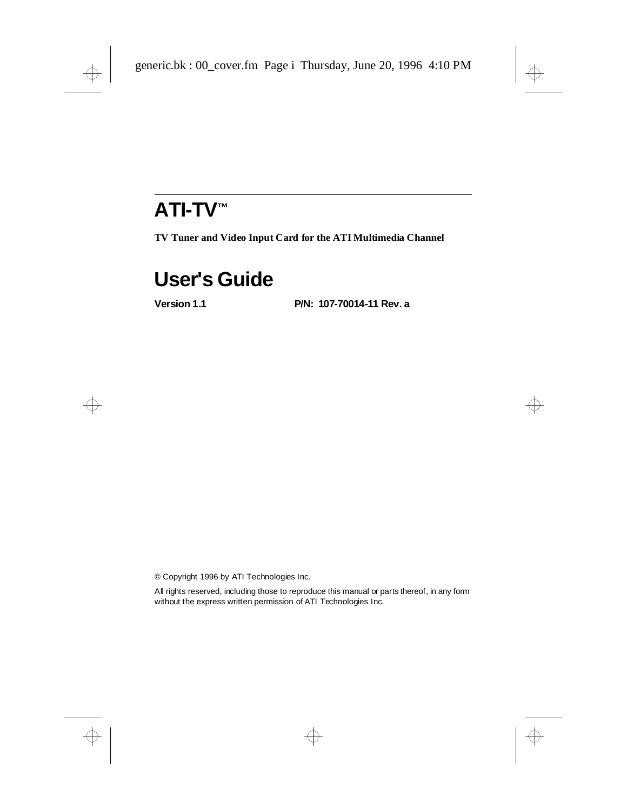# **ATI-TV™**

**TV Tuner and Video Input Card for the ATI Multimedia Channel**

## **User's Guide**

**Version 1.1 P/N: 107-70014-11 Rev. a**

© Copyright 1996 by ATI Technologies Inc.

All rights reserved, including those to reproduce this manual or parts thereof, in any form without the express written permission of ATI Technologies Inc.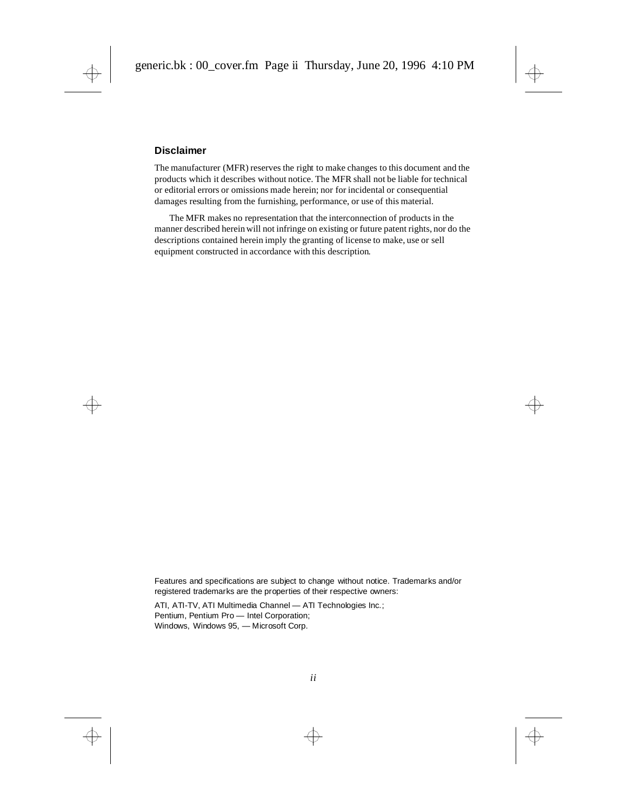#### **Disclaimer**

The manufacturer (MFR) reserves the right to make changes to this document and the products which it describes without notice. The MFR shall not be liable for technical or editorial errors or omissions made herein; nor for incidental or consequential damages resulting from the furnishing, performance, or use of this material.

The MFR makes no representation that the interconnection of products in the manner described herein will not infringe on existing or future patent rights, nor do the descriptions contained herein imply the granting of license to make, use or sell equipment constructed in accordance with this description.

Features and specifications are subject to change without notice. Trademarks and/or registered trademarks are the properties of their respective owners:

ATI, ATI-TV, ATI Multimedia Channel — ATI Technologies Inc.; Pentium, Pentium Pro — Intel Corporation; Windows, Windows 95, — Microsoft Corp.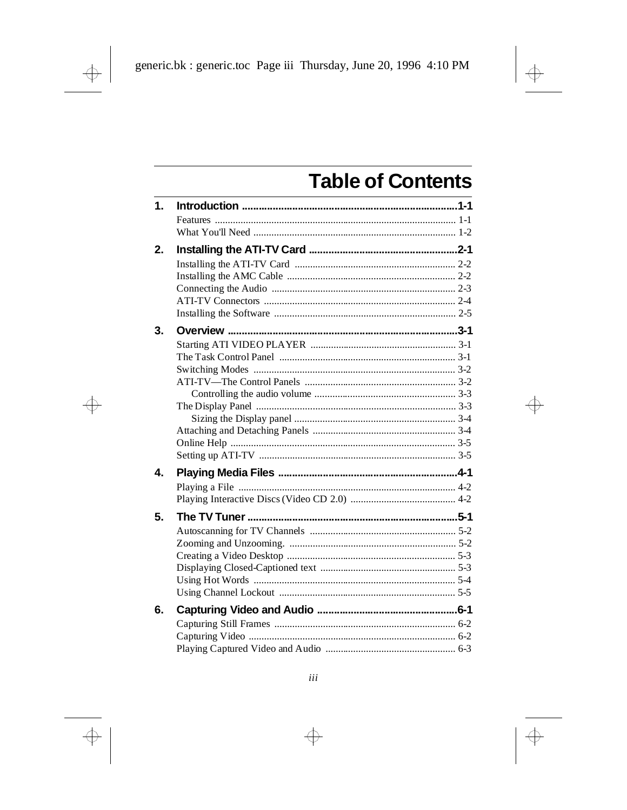# **Table of Contents**

| $\mathbf{1}$ . |  |
|----------------|--|
|                |  |
|                |  |
| 2.             |  |
|                |  |
|                |  |
|                |  |
|                |  |
|                |  |
| 3.             |  |
|                |  |
|                |  |
|                |  |
|                |  |
|                |  |
|                |  |
|                |  |
|                |  |
|                |  |
|                |  |
| 4.             |  |
|                |  |
|                |  |
| 5.             |  |
|                |  |
|                |  |
|                |  |
|                |  |
|                |  |
|                |  |
| 6.             |  |
|                |  |
|                |  |
|                |  |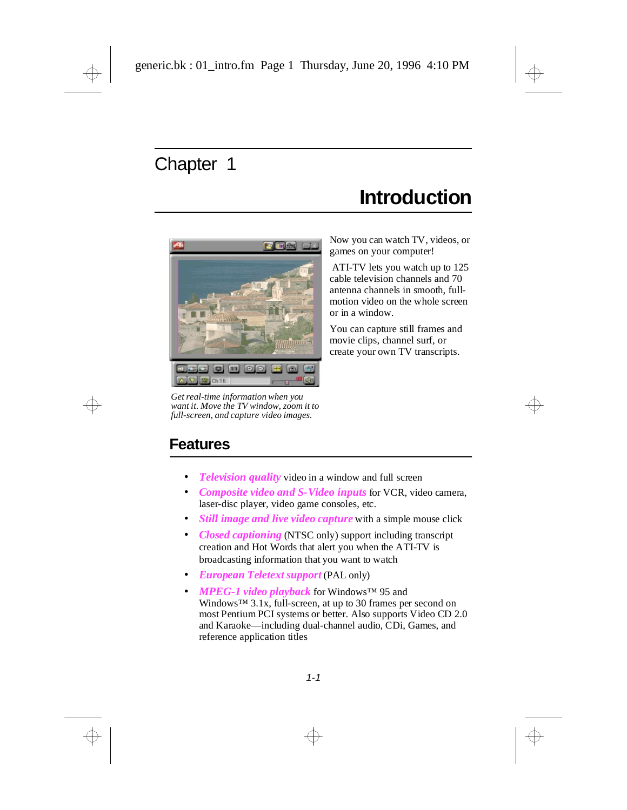## **Introduction**

<span id="page-4-0"></span>

*Get real-time information when you want it. Move the TV window, zoom it to full-screen, and capture video images.*

Now you can watch TV, videos, or games on your computer!

 ATI-TV lets you watch up to 125 cable television channels and 70 antenna channels in smooth, fullmotion video on the whole screen or in a window.

You can capture still frames and movie clips, channel surf, or create your own TV transcripts.

### **Features**

- *Television quality* video in a window and full screen
- *Composite video and S-Video inputs* for VCR, video camera, laser-disc player, video game consoles, etc.
- *Still image and live video capture* with a simple mouse click
- *Closed captioning* (NTSC only) support including transcript creation and Hot Words that alert you when the ATI-TV is broadcasting information that you want to watch
- *European Teletext support* (PAL only)
- *MPEG-1 video playback* for Windows™ 95 and Windows™ 3.1x, full-screen, at up to 30 frames per second on most Pentium PCI systems or better. Also supports Video CD 2.0 and Karaoke—including dual-channel audio, CDi, Games, and reference application titles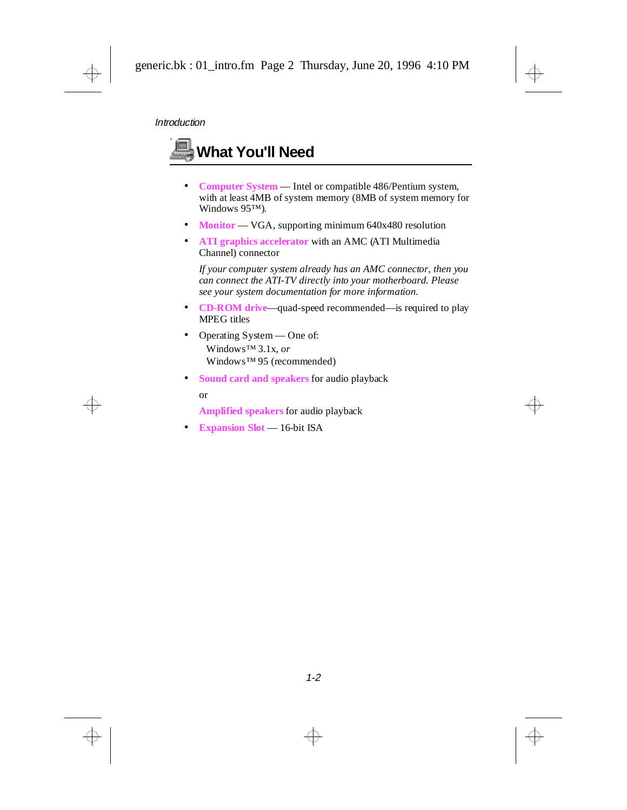<span id="page-5-0"></span>

Windows™ 95 (recommended)

• **Sound card and speakers** for audio playback or

**Amplified speakers** for audio playback

• **Expansion Slot** — 16-bit ISA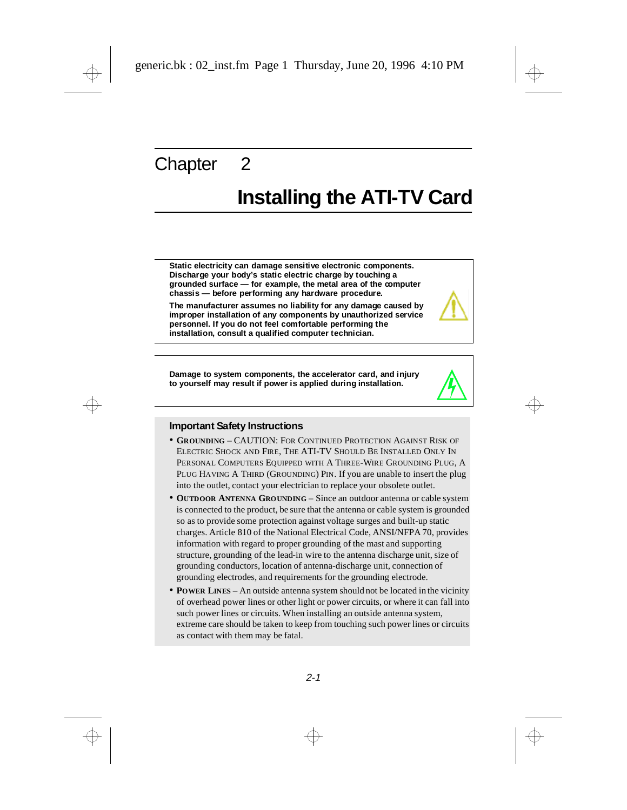## <span id="page-6-0"></span>**Installing the ATI-TV Card**

**Static electricity can damage sensitive electronic components. Discharge your body's static electric charge by touching a grounded surface — for example, the metal area of the computer chassis — before performing any hardware procedure.**

**The manufacturer assumes no liability for any damage caused by improper installation of any components by unauthorized service personnel. If you do not feel comfortable performing the installation, consult a qualified computer technician.**

**Damage to system components, the accelerator card, and injury to yourself may result if power is applied during installation.**

#### **Important Safety Instructions**

- **GROUNDING** CAUTION: FOR CONTINUED PROTECTION AGAINST RISK OF ELECTRIC SHOCK AND FIRE, THE ATI-TV SHOULD BE INSTALLED ONLY IN PERSONAL COMPUTERS EQUIPPED WITH A THREE-WIRE GROUNDING PLUG, A PLUG HAVING A THIRD (GROUNDING) PIN. If you are unable to insert the plug into the outlet, contact your electrician to replace your obsolete outlet.
- **OUTDOOR ANTENNA GROUNDING** Since an outdoor antenna or cable system is connected to the product, be sure that the antenna or cable system is grounded so as to provide some protection against voltage surges and built-up static charges. Article 810 of the National Electrical Code, ANSI/NFPA 70, provides information with regard to proper grounding of the mast and supporting structure, grounding of the lead-in wire to the antenna discharge unit, size of grounding conductors, location of antenna-discharge unit, connection of grounding electrodes, and requirements for the grounding electrode.
- **POWER LINES** An outside antenna system should not be located in the vicinity of overhead power lines or other light or power circuits, or where it can fall into such power lines or circuits. When installing an outside antenna system, extreme care should be taken to keep from touching such power lines or circuits as contact with them may be fatal.

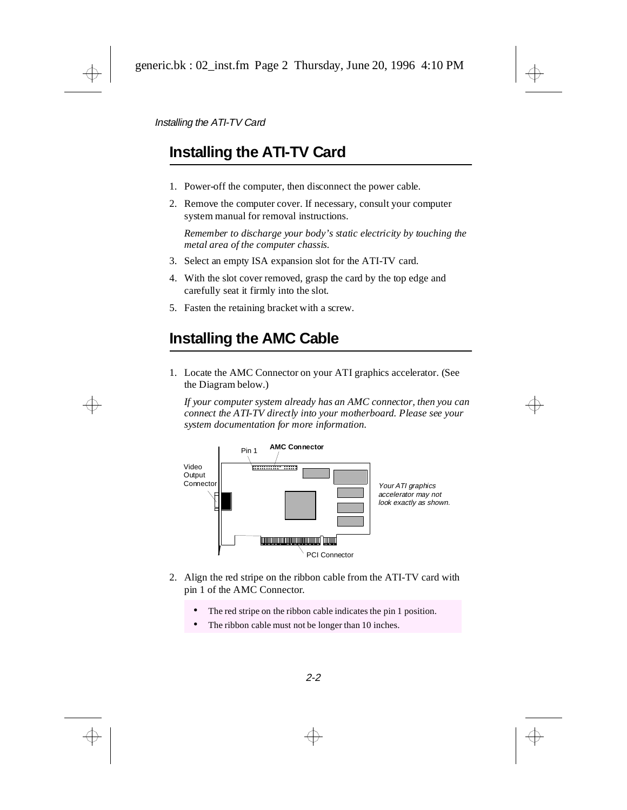### <span id="page-7-0"></span>**Installing the ATI-TV Card**

- 1. Power-off the computer, then disconnect the power cable.
- 2. Remove the computer cover. If necessary, consult your computer system manual for removal instructions.

*Remember to discharge your body's static electricity by touching the metal area of the computer chassis.*

- 3. Select an empty ISA expansion slot for the ATI-TV card.
- 4. With the slot cover removed, grasp the card by the top edge and carefully seat it firmly into the slot.
- 5. Fasten the retaining bracket with a screw.

### **Installing the AMC Cable**

1. Locate the AMC Connector on your ATI graphics accelerator. (See the Diagram below.)

*If your computer system already has an AMC connector, then you can connect the ATI-TV directly into your motherboard. Please see your system documentation for more information*.



- 2. Align the red stripe on the ribbon cable from the ATI-TV card with pin 1 of the AMC Connector.
	- The red stripe on the ribbon cable indicates the pin 1 position.
	- The ribbon cable must not be longer than 10 inches.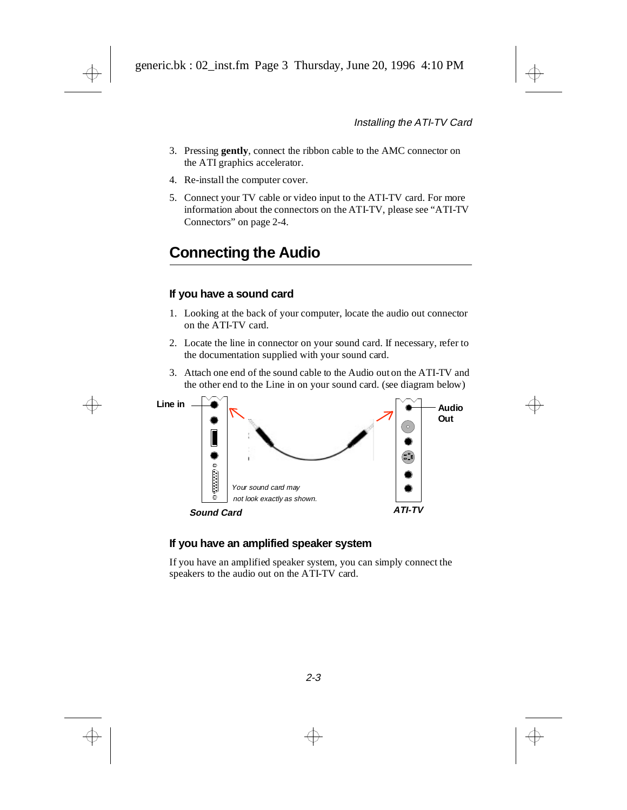- <span id="page-8-0"></span>3. Pressing **gently**, connect the ribbon cable to the AMC connector on the ATI graphics accelerator.
- 4. Re-install the computer cover.
- 5. Connect your TV cable or video input to the ATI-TV card. For more information about the connectors on the ATI-TV, please see ["ATI-TV](#page-9-0)  [Connectors" on page 2-4.](#page-9-0)

### **Connecting the Audio**

#### **If you have a sound card**

- 1. Looking at the back of your computer, locate the audio out connector on the ATI-TV card.
- 2. Locate the line in connector on your sound card. If necessary, refer to the documentation supplied with your sound card.
- 3. Attach one end of the sound cable to the Audio out on the ATI-TV and the other end to the Line in on your sound card. (see diagram below)



#### **If you have an amplified speaker system**

If you have an amplified speaker system, you can simply connect the speakers to the audio out on the ATI-TV card.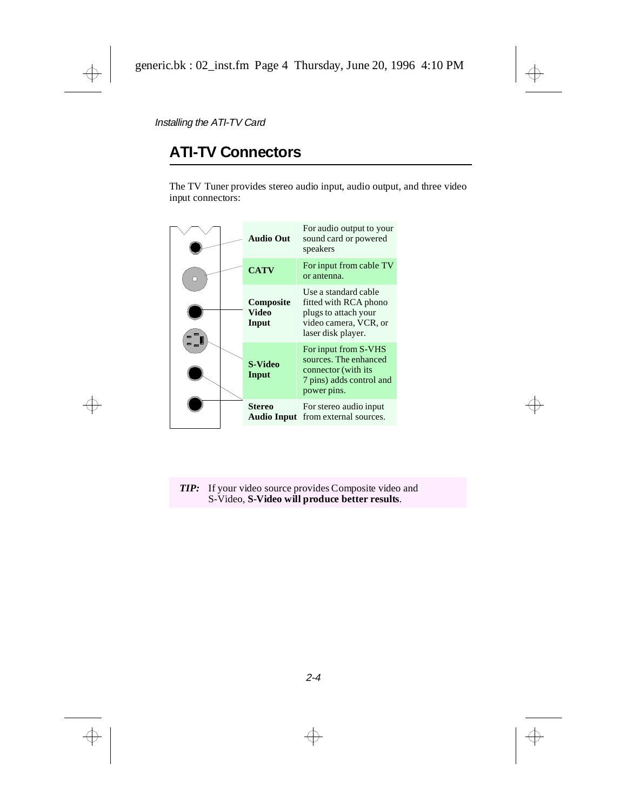### <span id="page-9-0"></span>**ATI-TV Connectors**

The TV Tuner provides stereo audio input, audio output, and three video input connectors:

|   |  | <b>Audio Out</b>                   | For audio output to your<br>sound card or powered<br>speakers                                                        |
|---|--|------------------------------------|----------------------------------------------------------------------------------------------------------------------|
| n |  | <b>CATV</b>                        | For input from cable TV<br>or antenna.                                                                               |
|   |  | Composite<br><b>Video</b><br>Input | Use a standard cable<br>fitted with RCA phono<br>plugs to attach your<br>video camera, VCR, or<br>laser disk player. |
|   |  | S-Video<br>Input                   | For input from S-VHS<br>sources. The enhanced<br>connector (with its<br>7 pins) adds control and<br>power pins.      |
|   |  | Stereo<br><b>Audio Input</b>       | For stereo audio input<br>from external sources.                                                                     |

*TIP:* If your video source provides Composite video and S-Video, **S-Video will produce better results**.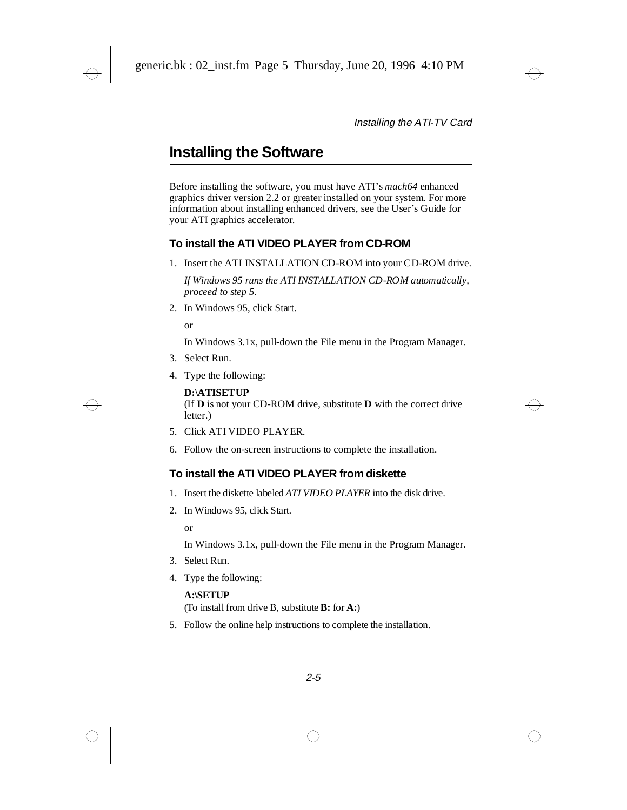### <span id="page-10-0"></span>**Installing the Software**

Before installing the software, you must have ATI's *mach64* enhanced graphics driver version 2.2 or greater installed on your system. For more information about installing enhanced drivers, see the User's Guide for your ATI graphics accelerator.

#### **To install the ATI VIDEO PLAYER from CD-ROM**

1. Insert the ATI INSTALLATION CD-ROM into your CD-ROM drive.

*If Windows 95 runs the ATI INSTALLATION CD-ROM automatically, proceed to step 5.*

2. In Windows 95, click Start.

or

In Windows 3.1x, pull-down the File menu in the Program Manager.

- 3. Select Run.
- 4. Type the following:

**D:\ATISETUP**  (If **D** is not your CD-ROM drive, substitute **D** with the correct drive letter.)

- 5. Click ATI VIDEO PLAYER.
- 6. Follow the on-screen instructions to complete the installation.

#### **To install the ATI VIDEO PLAYER from diskette**

- 1. Insert the diskette labeled *ATI VIDEO PLAYER* into the disk drive.
- 2. In Windows 95, click Start.

or

In Windows 3.1x, pull-down the File menu in the Program Manager.

- 3. Select Run.
- 4. Type the following:

#### **A:\SETUP**

(To install from drive B, substitute **B:** for **A:**)

5. Follow the online help instructions to complete the installation.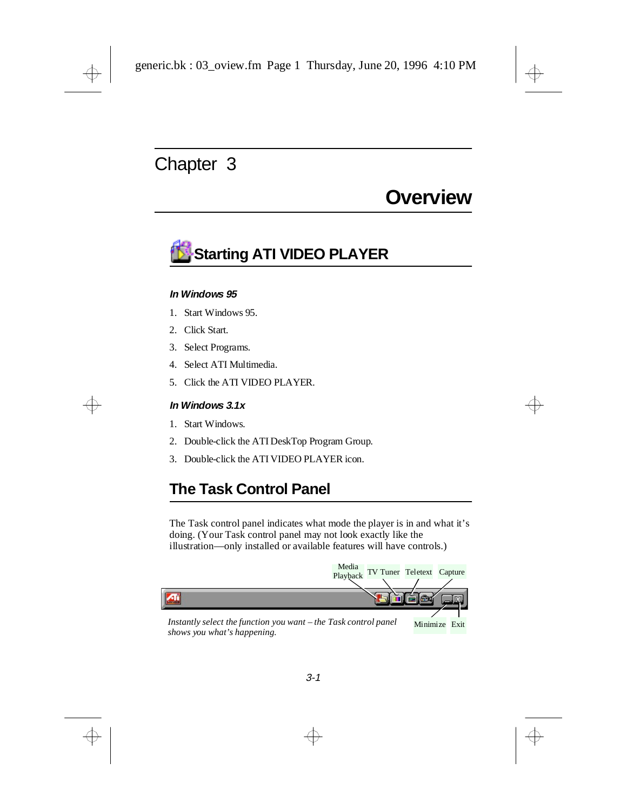## **Overview**

# <span id="page-11-0"></span>**Starting ATI VIDEO PLAYER**

#### **In Windows 95**

- 1. Start Windows 95.
- 2. Click Start.
- 3. Select Programs.
- 4. Select ATI Multimedia.
- 5. Click the ATI VIDEO PLAYER.

#### **In Windows 3.1x**

- 1. Start Windows.
- 2. Double-click the ATI DeskTop Program Group.
- 3. Double-click the ATI VIDEO PLAYER icon.

### **The Task Control Panel**

The Task control panel indicates what mode the player is in and what it's doing. (Your Task control panel may not look exactly like the illustration—only installed or available features will have controls.)

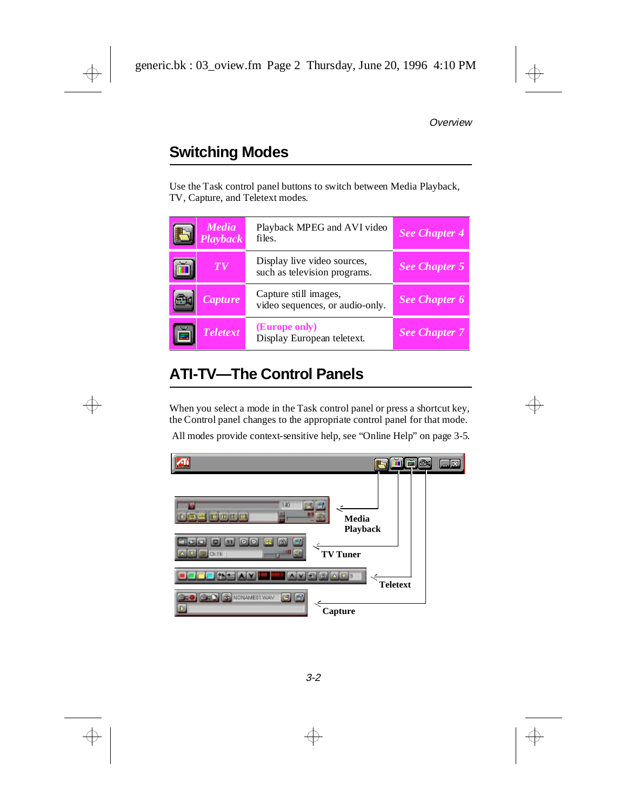## <span id="page-12-0"></span>**Switching Modes**

Use the Task control panel buttons to switch between Media Playback, TV, Capture, and Teletext modes.

| <b>Media</b><br><b>Playback</b> | Playback MPEG and AVI video<br>files.                       | <b>See Chapter 4</b> |
|---------------------------------|-------------------------------------------------------------|----------------------|
| T V                             | Display live video sources,<br>such as television programs. | <b>See Chapter 5</b> |
| <b>Capture</b>                  | Capture still images,<br>video sequences, or audio-only.    | <b>See Chapter 6</b> |
| <b>Teletext</b>                 | (Europe only)<br>Display European teletext.                 | <b>See Chapter 7</b> |

### **ATI-TV—The Control Panels**

When you select a mode in the Task control panel or press a shortcut key, the Control panel changes to the appropriate control panel for that mode.

All modes provide context-sensitive help, see ["Online Help" on page 3-5.](#page-15-0)

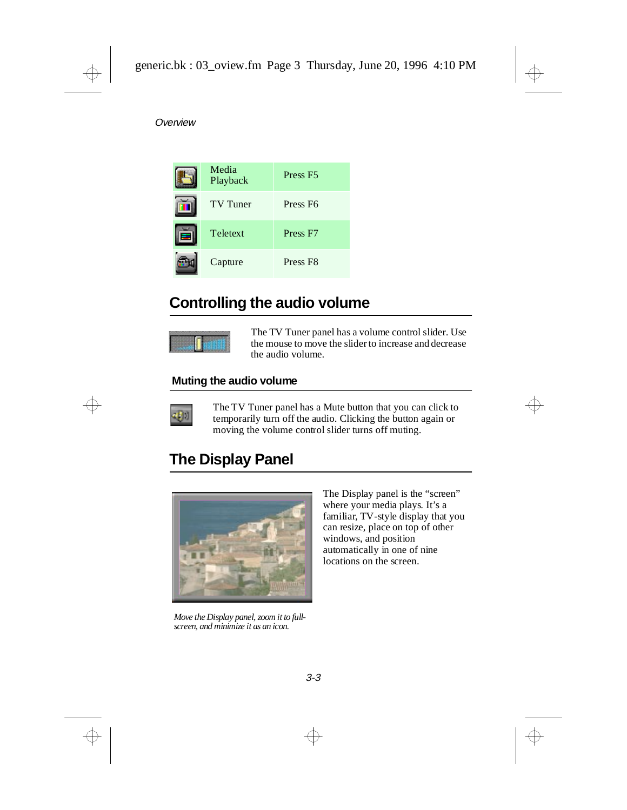<span id="page-13-0"></span>

| Media<br>Playback | Press <sub>F5</sub> |
|-------------------|---------------------|
| <b>TV</b> Tuner   | Press <sub>F6</sub> |
| Teletext          | Press <sub>F7</sub> |
| Capture           | Press <sub>F8</sub> |

### **Controlling the audio volume**



The TV Tuner panel has a volume control slider. Use the mouse to move the slider to increase and decrease the audio volume.

#### **Muting the audio volume**



The TV Tuner panel has a Mute button that you can click to temporarily turn off the audio. Clicking the button again or moving the volume control slider turns off muting.

### **The Display Panel**



*Move the Display panel, zoom it to fullscreen, and minimize it as an icon.*

The Display panel is the "screen" where your media plays. It's a familiar, TV-style display that you can resize, place on top of other windows, and position automatically in one of nine locations on the screen.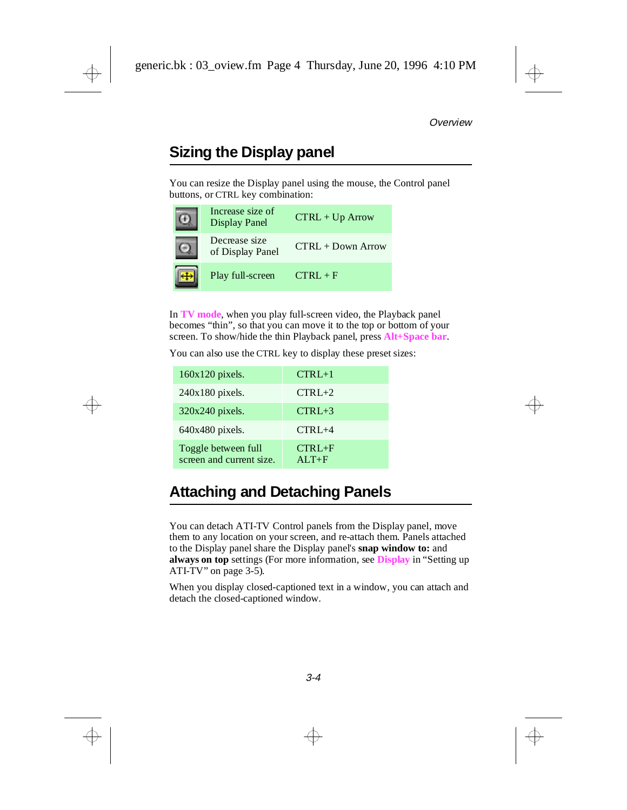### <span id="page-14-0"></span>**Sizing the Display panel**

You can resize the Display panel using the mouse, the Control panel buttons, or CTRL key combination:

| Increase size of<br><b>Display Panel</b> | $CTRL + Up Arrow$   |
|------------------------------------------|---------------------|
| Decrease size<br>of Display Panel        | $CTRL + Down Arrow$ |
| Play full-screen                         | $CTRI + F$          |

In **TV mode**, when you play full-screen video, the Playback panel becomes "thin", so that you can move it to the top or bottom of your screen. To show/hide the thin Playback panel, press **Alt+Space bar**.

You can also use the CTRL key to display these preset sizes:

| $160x120$ pixels.                               | $CTRL+1$            |
|-------------------------------------------------|---------------------|
| $240x180$ pixels.                               | $CTRL+2$            |
| $320x240$ pixels.                               | $CTRL+3$            |
| $640x480$ pixels.                               | $CTRL+4$            |
| Toggle between full<br>screen and current size. | $CTR+F$<br>$AI.T+F$ |

### **Attaching and Detaching Panels**

You can detach ATI-TV Control panels from the Display panel, move them to any location on your screen, and re-attach them. Panels attached to the Display panel share the Display panel's **snap window to:** and **always on top** settings (For more information, see **Display** in ["Setting up](#page-15-0)  [ATI-TV" on page 3-5](#page-15-0)).

When you display closed-captioned text in a window, you can attach and detach the closed-captioned window.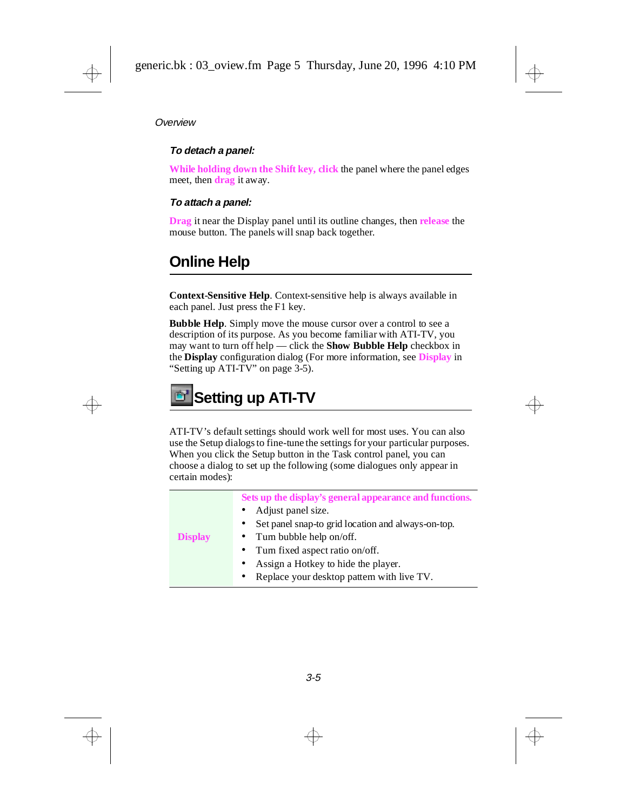#### <span id="page-15-0"></span>**To detach a panel:**

**While holding down the Shift key, click** the panel where the panel edges meet, then **drag** it away.

#### **To attach a panel:**

**Drag** it near the Display panel until its outline changes, then **release** the mouse button. The panels will snap back together.

### **Online Help**

**Context-Sensitive Help**. Context-sensitive help is always available in each panel. Just press the F1 key.

**Bubble Help**. Simply move the mouse cursor over a control to see a description of its purpose. As you become familiar with ATI-TV, you may want to turn off help — click the **Show Bubble Help** checkbox in the **Display** configuration dialog (For more information, see **Display** in "Setting up ATI-TV" on page 3-5).

## **Setting up ATI-TV**

ATI-TV's default settings should work well for most uses. You can also use the Setup dialogs to fine-tune the settings for your particular purposes. When you click the Setup button in the Task control panel, you can choose a dialog to set up the following (some dialogues only appear in certain modes):

|                | Sets up the display's general appearance and functions. |  |  |
|----------------|---------------------------------------------------------|--|--|
|                | Adjust panel size.                                      |  |  |
|                | Set panel snap-to grid location and always-on-top.      |  |  |
| <b>Display</b> | • Turn bubble help on/off.                              |  |  |
|                | • Turn fixed aspect ratio on/off.                       |  |  |
|                | Assign a Hotkey to hide the player.                     |  |  |
|                | Replace your desktop pattern with live TV.<br>$\bullet$ |  |  |
|                |                                                         |  |  |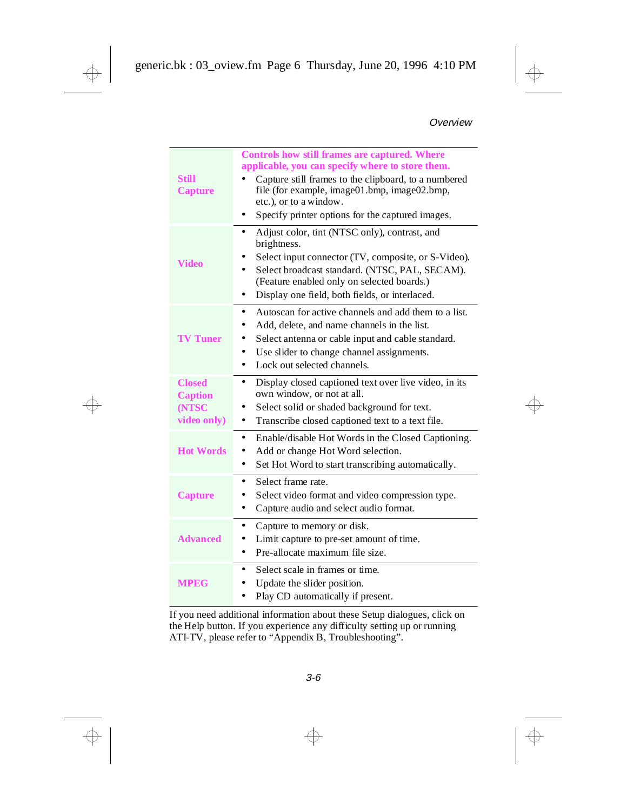<span id="page-16-0"></span>

| Still<br><b>Capture</b>                                 | <b>Controls how still frames are captured. Where</b><br>applicable, you can specify where to store them.<br>Capture still frames to the clipboard, to a numbered<br>file (for example, image01.bmp, image02.bmp,<br>etc.), or to a window.<br>Specify printer options for the captured images.<br>٠  |
|---------------------------------------------------------|------------------------------------------------------------------------------------------------------------------------------------------------------------------------------------------------------------------------------------------------------------------------------------------------------|
| <b>Video</b>                                            | Adjust color, tint (NTSC only), contrast, and<br>$\bullet$<br>brightness.<br>Select input connector (TV, composite, or S-Video).<br>Select broadcast standard. (NTSC, PAL, SECAM).<br>$\bullet$<br>(Feature enabled only on selected boards.)<br>Display one field, both fields, or interlaced.<br>٠ |
| <b>TV Tuner</b>                                         | Autoscan for active channels and add them to a list.<br>$\bullet$<br>Add, delete, and name channels in the list.<br>Select antenna or cable input and cable standard.<br>Use slider to change channel assignments.<br>٠<br>Lock out selected channels.<br>$\bullet$                                  |
| <b>Closed</b><br><b>Caption</b><br>(NTSC<br>video only) | Display closed captioned text over live video, in its<br>٠<br>own window, or not at all.<br>Select solid or shaded background for text.<br>Transcribe closed captioned text to a text file.<br>٠                                                                                                     |
| <b>Hot Words</b>                                        | $\bullet$<br>Enable/disable Hot Words in the Closed Captioning.<br>Add or change Hot Word selection.<br>Set Hot Word to start transcribing automatically.<br>٠                                                                                                                                       |
| <b>Capture</b>                                          | Select frame rate.<br>$\bullet$<br>Select video format and video compression type.<br>Capture audio and select audio format.<br>٠                                                                                                                                                                    |
| <b>Advanced</b>                                         | Capture to memory or disk.<br>٠<br>Limit capture to pre-set amount of time.<br>Pre-allocate maximum file size.<br>$\bullet$                                                                                                                                                                          |
| <b>MPEG</b>                                             | Select scale in frames or time.<br>$\bullet$<br>Update the slider position.<br>Play CD automatically if present.                                                                                                                                                                                     |

If you need additional information about these Setup dialogues, click on the Help button. If you experience any difficulty setting up or running ATI-TV, please refer to "Appendix B, Troubleshooting".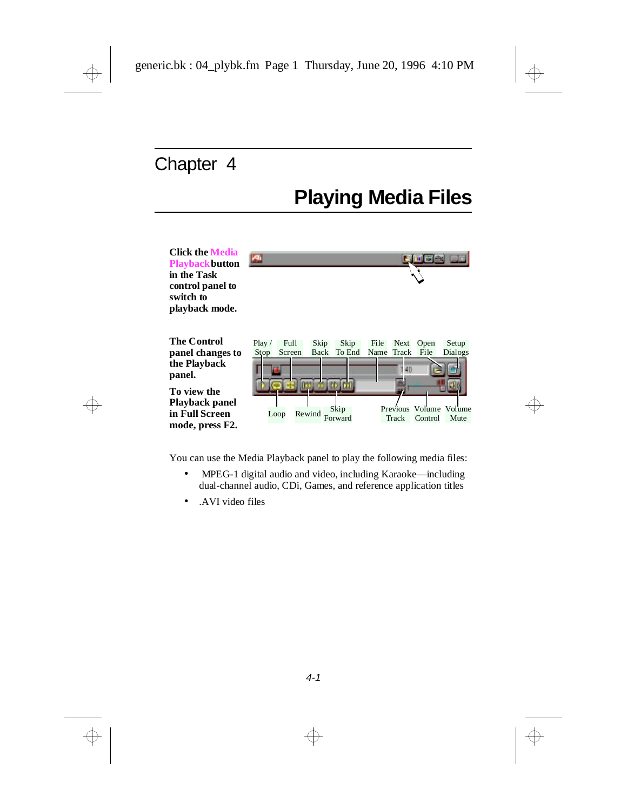# **Playing Media Files**

<span id="page-17-0"></span>

You can use the Media Playback panel to play the following media files:

- MPEG-1 digital audio and video, including Karaoke—including dual-channel audio, CDi, Games, and reference application titles
- .AVI video files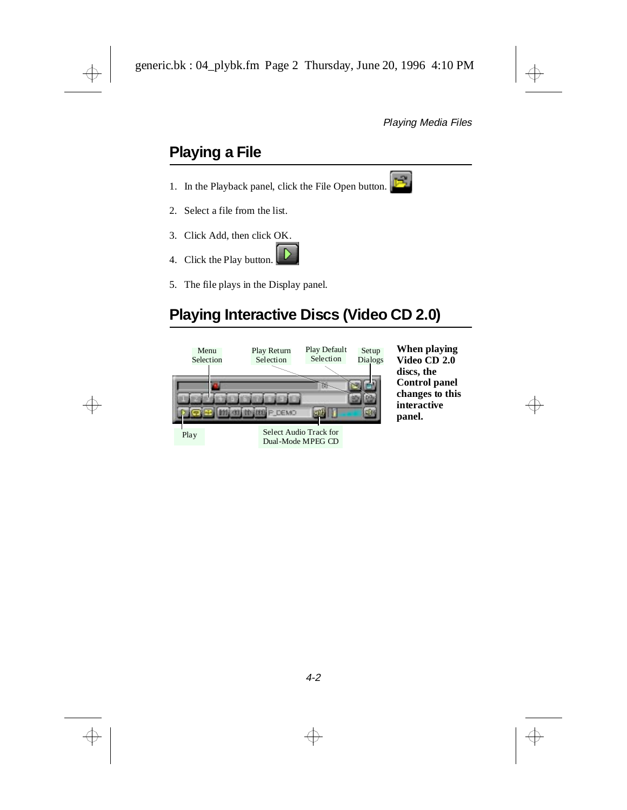## <span id="page-18-0"></span>**Playing a File**

- 1. In the Playback panel, click the File Open button.
- 2. Select a file from the list.
- 3. Click Add, then click OK.
- 4. Click the Play button.
- 5. The file plays in the Display panel.

### **Playing Interactive Discs (Video CD 2.0)**



**When playing Video CD 2.0 discs, the Control panel changes to this interactive panel.**



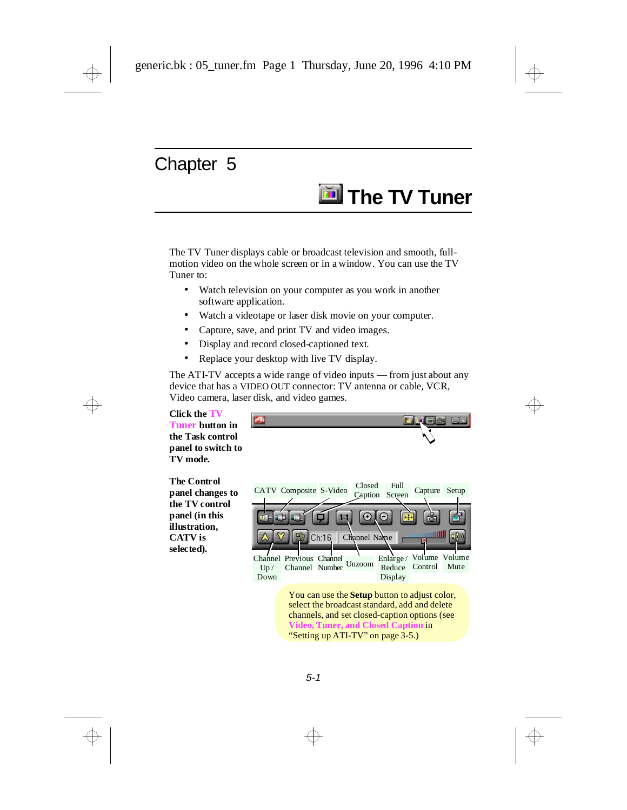# **The TV Tuner**

<span id="page-19-0"></span>The TV Tuner displays cable or broadcast television and smooth, fullmotion video on the whole screen or in a window. You can use the TV Tuner to:

- Watch television on your computer as you work in another software application.
- Watch a videotape or laser disk movie on your computer.
- Capture, save, and print TV and video images.
- Display and record closed-captioned text.

140

Replace your desktop with live TV display.

The ATI-TV accepts a wide range of video inputs — from just about any device that has a VIDEO OUT connector: TV antenna or cable, VCR, Video camera, laser disk, and video games.

**Click the TV Tuner button in the Task control panel to switch to TV mode***.*

**The Control panel changes to the TV control panel (in this illustration, CATV is selected)***.*

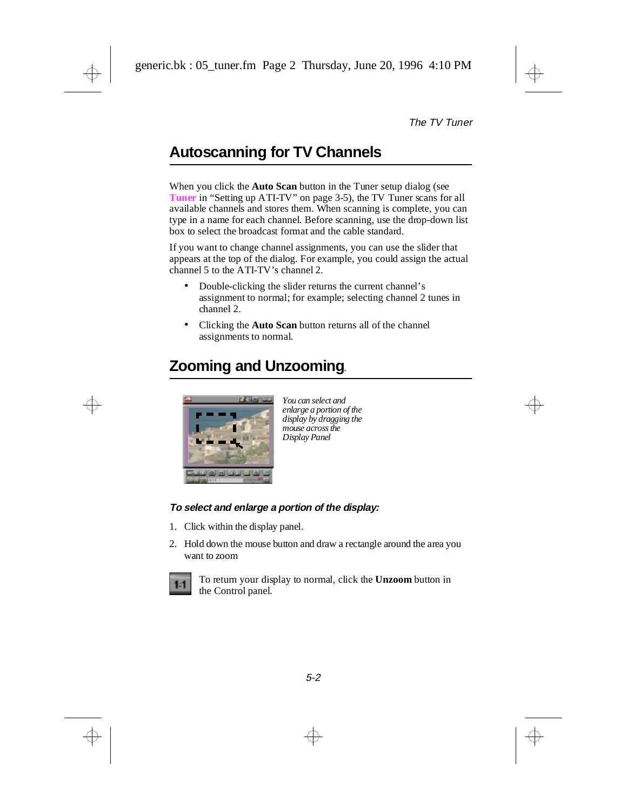## <span id="page-20-0"></span>**Autoscanning for TV Channels**

When you click the **Auto Scan** button in the Tuner setup dialog (see **Tuner** in ["Setting up ATI-TV" on page 3-5](#page-15-0)), the TV Tuner scans for all available channels and stores them. When scanning is complete, you can type in a name for each channel. Before scanning, use the drop-down list box to select the broadcast format and the cable standard.

If you want to change channel assignments, you can use the slider that appears at the top of the dialog. For example, you could assign the actual channel 5 to the ATI-TV's channel 2.

- Double-clicking the slider returns the current channel's assignment to normal; for example; selecting channel 2 tunes in channel 2.
- Clicking the **Auto Scan** button returns all of the channel assignments to normal.

### **Zooming and Unzooming**.



*You can select and enlarge a portion of the display by dragging the mouse across the Display Panel*

#### **To select and enlarge a portion of the display:**

- 1. Click within the display panel.
- 2. Hold down the mouse button and draw a rectangle around the area you want to zoom



To return your display to normal, click the **Unzoom** button in the Control panel.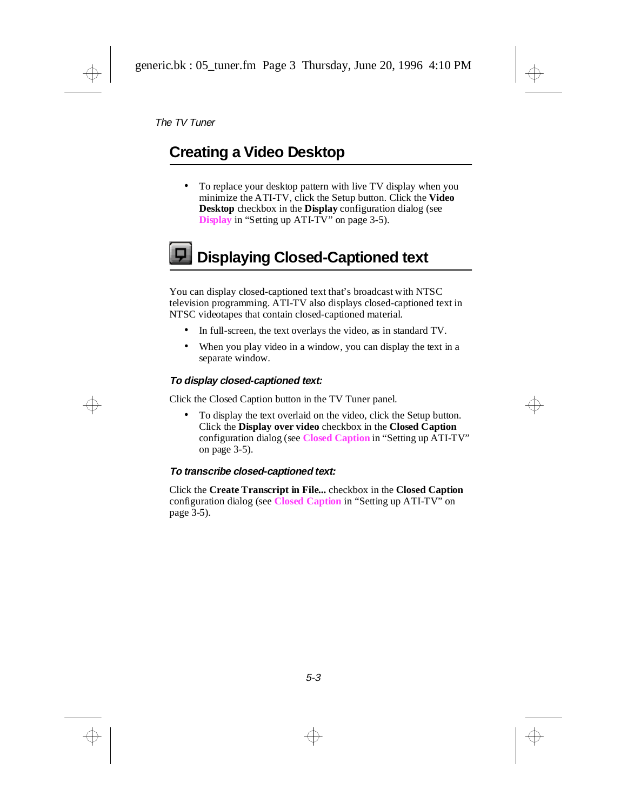### <span id="page-21-0"></span>**Creating a Video Desktop**

• To replace your desktop pattern with live TV display when you minimize the ATI-TV, click the Setup button. Click the **Video Desktop** checkbox in the **Display** configuration dialog (see **Display** in ["Setting up ATI-TV" on page 3-5\)](#page-15-0).

# **Displaying Closed-Captioned text**

You can display closed-captioned text that's broadcast with NTSC television programming. ATI-TV also displays closed-captioned text in NTSC videotapes that contain closed-captioned material.

- In full-screen, the text overlays the video, as in standard TV.
- When you play video in a window, you can display the text in a separate window.

#### **To display closed-captioned text:**

Click the Closed Caption button in the TV Tuner panel.

• To display the text overlaid on the video, click the Setup button. Click the **Display over video** checkbox in the **Closed Caption** configuration dialog (see **Closed Caption** in ["Setting up ATI-TV"](#page-15-0)  [on page 3-5\)](#page-15-0).

#### **To transcribe closed-captioned text:**

Click the **Create Transcript in File...** checkbox in the **Closed Caption** configuration dialog (see **Closed Caption** in ["Setting up ATI-TV" on](#page-15-0)  [page 3-5\)](#page-15-0).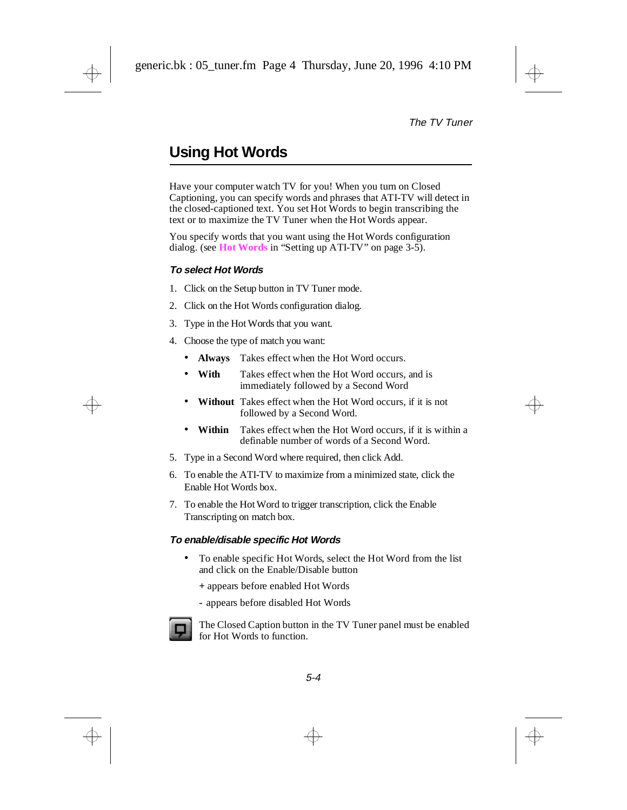## <span id="page-22-0"></span>**Using Hot Words**

Have your computer watch TV for you! When you turn on Closed Captioning, you can specify words and phrases that ATI-TV will detect in the closed-captioned text. You set Hot Words to begin transcribing the text or to maximize the TV Tuner when the Hot Words appear.

You specify words that you want using the Hot Words configuration dialog. (see **Hot Words** in ["Setting up ATI-TV" on page 3-5\)](#page-15-0).

#### **To select Hot Words**

- 1. Click on the Setup button in TV Tuner mode.
- 2. Click on the Hot Words configuration dialog.
- 3. Type in the Hot Words that you want.
- 4. Choose the type of match you want:
	- **Always** Takes effect when the Hot Word occurs.
	- **With** Takes effect when the Hot Word occurs, and is immediately followed by a Second Word
	- **Without** Takes effect when the Hot Word occurs, if it is not followed by a Second Word.
	- **Within** Takes effect when the Hot Word occurs, if it is within a definable number of words of a Second Word.
- 5. Type in a Second Word where required, then click Add.
- 6. To enable the ATI-TV to maximize from a minimized state, click the Enable Hot Words box.
- 7. To enable the Hot Word to trigger transcription, click the Enable Transcripting on match box.

#### **To enable/disable specific Hot Words**

- To enable specific Hot Words, select the Hot Word from the list and click on the Enable/Disable button
	- **+** appears before enabled Hot Words
	- **-** appears before disabled Hot Words



The Closed Caption button in the TV Tuner panel must be enabled for Hot Words to function.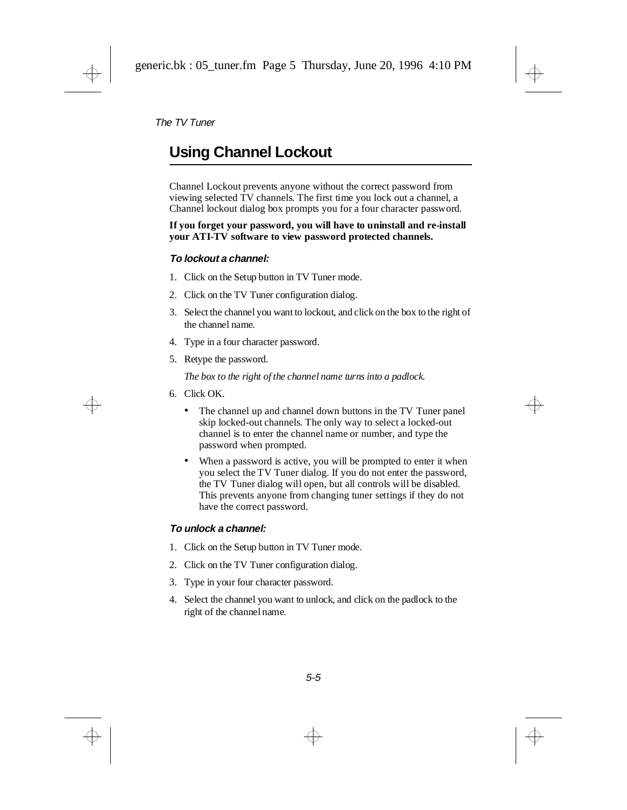### <span id="page-23-0"></span>**Using Channel Lockout**

Channel Lockout prevents anyone without the correct password from viewing selected TV channels. The first time you lock out a channel, a Channel lockout dialog box prompts you for a four character password.

**If you forget your password, you will have to uninstall and re-install your ATI-TV software to view password protected channels.**

#### **To lockout a channel:**

- 1. Click on the Setup button in TV Tuner mode.
- 2. Click on the TV Tuner configuration dialog.
- 3. Select the channel you want to lockout, and click on the box to the right of the channel name.
- 4. Type in a four character password.
- 5. Retype the password.

*The box to the right of the channel name turns into a padlock.*

- 6. Click OK.
	- The channel up and channel down buttons in the TV Tuner panel skip locked-out channels. The only way to select a locked-out channel is to enter the channel name or number, and type the password when prompted.
	- When a password is active, you will be prompted to enter it when you select the TV Tuner dialog. If you do not enter the password, the TV Tuner dialog will open, but all controls will be disabled. This prevents anyone from changing tuner settings if they do not have the correct password.

#### **To unlock a channel:**

- 1. Click on the Setup button in TV Tuner mode.
- 2. Click on the TV Tuner configuration dialog.
- 3. Type in your four character password.
- 4. Select the channel you want to unlock, and click on the padlock to the right of the channel name.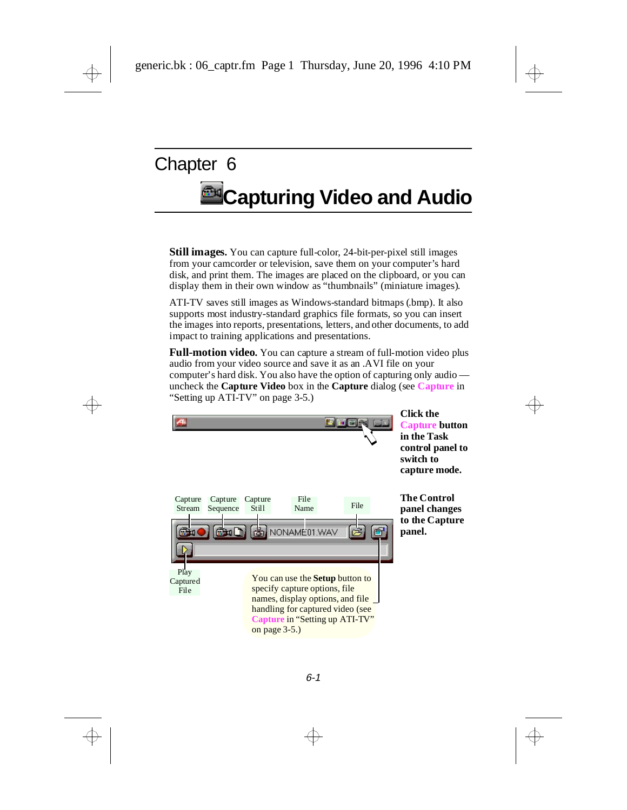# <span id="page-24-0"></span>**Capturing Video and Audio**

**Still images.** You can capture full-color, 24-bit-per-pixel still images from your camcorder or television, save them on your computer's hard disk, and print them. The images are placed on the clipboard, or you can display them in their own window as "thumbnails" (miniature images).

ATI-TV saves still images as Windows-standard bitmaps (.bmp). It also supports most industry-standard graphics file formats, so you can insert the images into reports, presentations, letters, and other documents, to add impact to training applications and presentations.

**Full-motion video.** You can capture a stream of full-motion video plus audio from your video source and save it as an .AVI file on your computer's hard disk. You also have the option of capturing only audio uncheck the **Capture Video** box in the **Capture** dialog (see **Capture** in ["Setting up ATI-TV" on page 3-5.](#page-15-0))

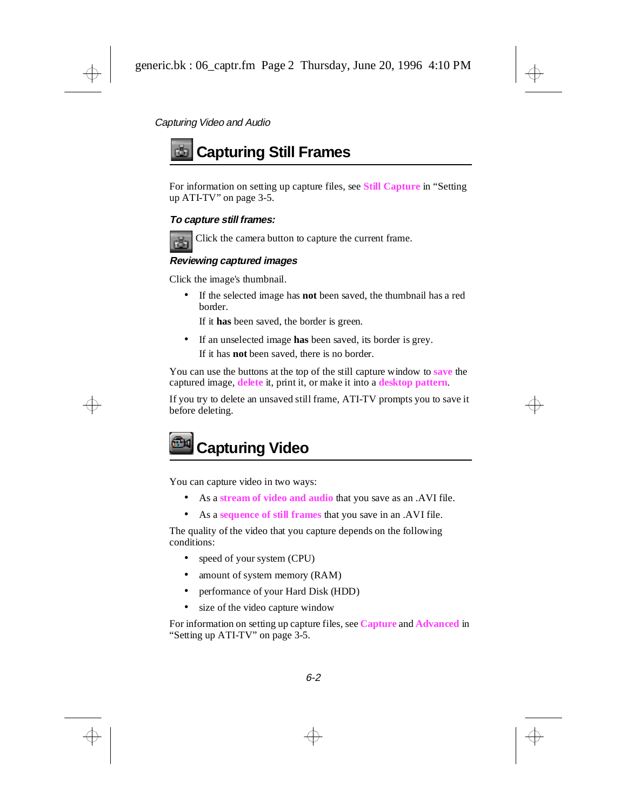## <span id="page-25-0"></span>**Capturing Still Frames**

For information on setting up capture files, see **Still Capture** in ["Setting](#page-15-0)  [up ATI-TV" on page 3-5.](#page-15-0)

#### **To capture still frames:**



Click the camera button to capture the current frame.

#### **Reviewing captured images**

Click the image's thumbnail.

• If the selected image has **not** been saved, the thumbnail has a red border.

If it **has** been saved, the border is green.

• If an unselected image **has** been saved, its border is grey.

If it has **not** been saved, there is no border.

You can use the buttons at the top of the still capture window to **save** the captured image, **delete** it, print it, or make it into a **desktop pattern**.

If you try to delete an unsaved still frame, ATI-TV prompts you to save it before deleting.



You can capture video in two ways:

- As a **stream of video and audio** that you save as an .AVI file.
- As a **sequence of still frames** that you save in an .AVI file.

The quality of the video that you capture depends on the following conditions:

- speed of your system (CPU)
- amount of system memory (RAM)
- performance of your Hard Disk (HDD)
- size of the video capture window

For information on setting up capture files, see **Capture** and **Advanced** in ["Setting up ATI-TV" on page 3-5.](#page-15-0)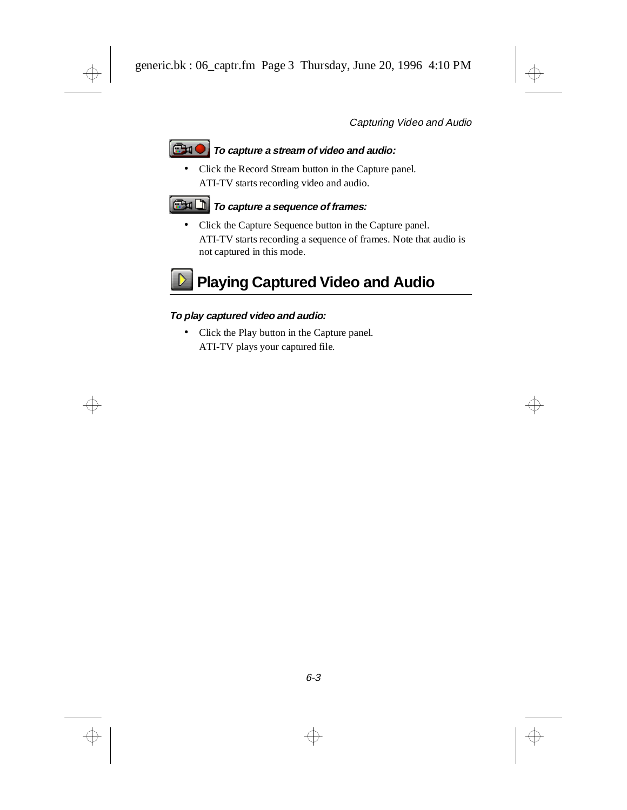#### <span id="page-26-0"></span>**GHO To capture a stream of video and audio:**

• Click the Record Stream button in the Capture panel. ATI-TV starts recording video and audio.

#### **To capture a sequence of frames:**

• Click the Capture Sequence button in the Capture panel. ATI-TV starts recording a sequence of frames. Note that audio is not captured in this mode.

# **Playing Captured Video and Audio**

#### **To play captured video and audio:**

• Click the Play button in the Capture panel. ATI-TV plays your captured file.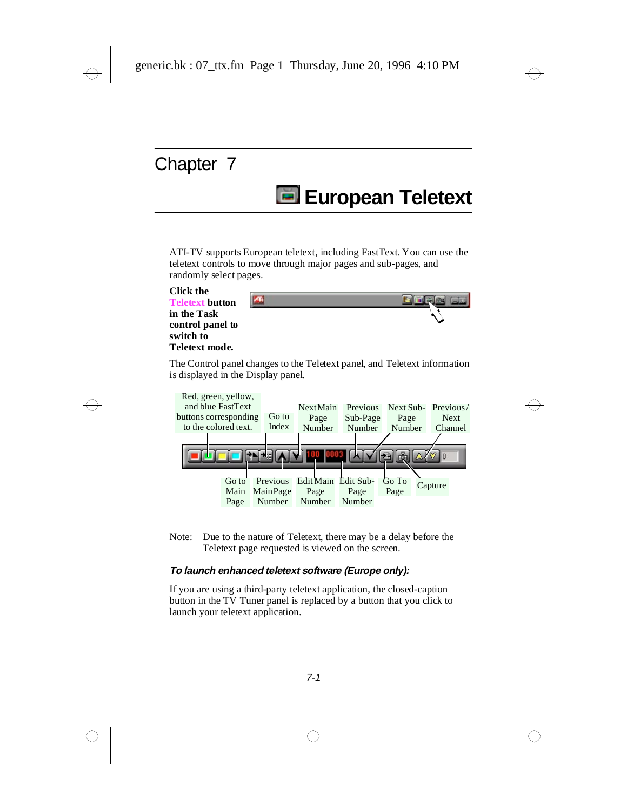# **European Teletext**

<span id="page-27-0"></span>ATI-TV supports European teletext, including FastText. You can use the teletext controls to move through major pages and sub-pages, and randomly select pages.



The Control panel changes to the Teletext panel, and Teletext information is displayed in the Display panel.



Note: Due to the nature of Teletext, there may be a delay before the Teletext page requested is viewed on the screen.

#### **To launch enhanced teletext software (Europe only):**

If you are using a third-party teletext application, the closed-caption button in the TV Tuner panel is replaced by a button that you click to launch your teletext application.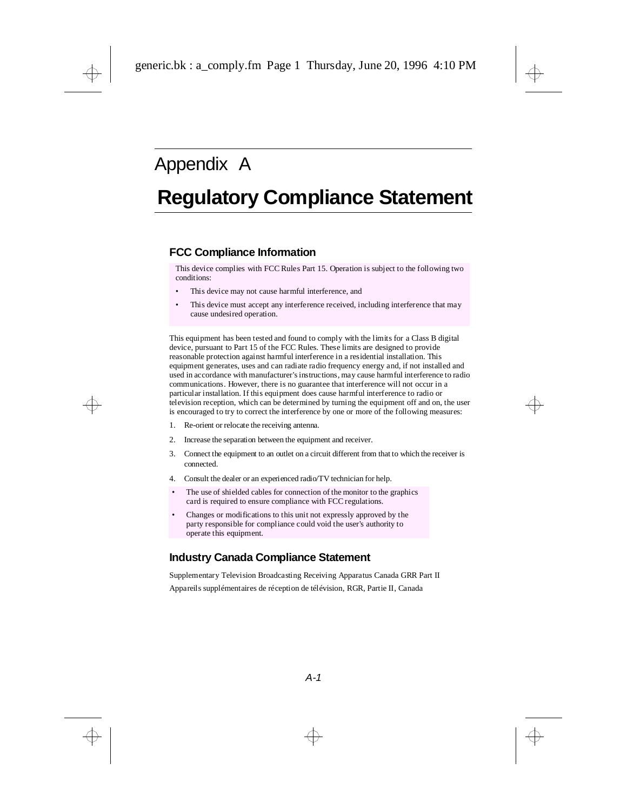## <span id="page-28-0"></span>Appendix A

## **Regulatory Compliance Statement**

#### **FCC Compliance Information**

This device complies with FCC Rules Part 15. Operation is subject to the following two conditions:

- This device may not cause harmful interference, and
- This device must accept any interference received, including interference that may cause undesired operation.

This equipment has been tested and found to comply with the limits for a Class B digital device, pursuant to Part 15 of the FCC Rules. These limits are designed to provide reasonable protection against harmful interference in a residential installation. This equipment generates, uses and can radiate radio frequency energy and, if not installed and used in accordance with manufacturer's instructions, may cause harmful interference to radio communications. However, there is no guarantee that interference will not occur in a particular installation. If this equipment does cause harmful interference to radio or television reception, which can be determined by turning the equipment off and on, the user is encouraged to try to correct the interference by one or more of the following measures:

- 1. Re-orient or relocate the receiving antenna.
- 2. Increase the separation between the equipment and receiver.
- 3. Connect the equipment to an outlet on a circuit different from that to which the receiver is connected.
- 4. Consult the dealer or an experienced radio/TV technician for help.
- The use of shielded cables for connection of the monitor to the graphics card is required to ensure compliance with FCC regulations.
- Changes or modifications to this unit not expressly approved by the party responsible for compliance could void the user's authority to operate this equipment.

#### **Industry Canada Compliance Statement**

Supplementary Television Broadcasting Receiving Apparatus Canada GRR Part II

Appareils supplémentaires de réception de télévision, RGR, Partie II, Canada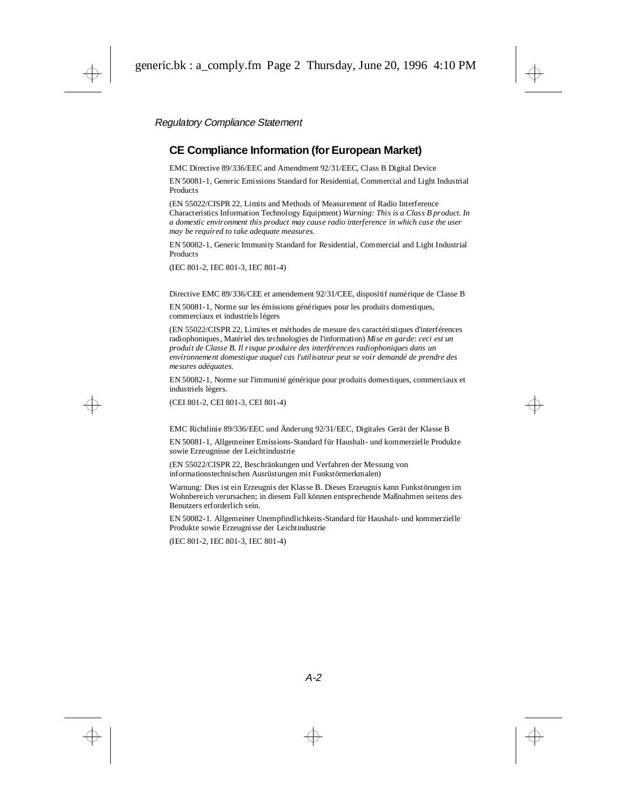#### **CE Compliance Information (for European Market)**

EMC Directive 89/336/EEC and Amendment 92/31/EEC, Class B Digital Device

EN 50081-1, Generic Emissions Standard for Residential, Commercial and Light Industrial **Products** 

(EN 55022/CISPR 22, Limits and Methods of Measurement of Radio Interference Characteristics Information Technology Equipment) *Warning: This is a Class B product. In a domestic environment this product may cause radio interference in which case the user may be required to take adequate measures.*

EN 50082-1, Generic Immunity Standard for Residential, Commercial and Light Industrial Products

(IEC 801-2, IEC 801-3, IEC 801-4)

Directive EMC 89/336/CEE et amendement 92/31/CEE, dispositif numérique de Classe B

EN 50081-1, Norme sur les émissions génériques pour les produits domestiques, commerciaux et industriels légers

(EN 55022/CISPR 22, Limites et méthodes de mesure des caractéristiques d'interférences radiophoniques, Matériel des technologies de l'information) *Mise en garde: ceci est un produit de Classe B. Il risque produire des interférences radiophoniques dans un environnement domestique auquel cas l'utilisateur peut se voir demandé de prendre des mesures adéquates.*

EN 50082-1, Norme sur l'immunité générique pour produits domestiques, commerciaux et industriels légers.

(CEI 801-2, CEI 801-3, CEI 801-4)

EMC Richtlinie 89/336/EEC und Änderung 92/31/EEC, Digitales Gerät der Klasse B

EN 50081-1, Allgemeiner Emissions-Standard für Haushalt- und kommerzielle Produkte sowie Erzeugnisse der Leichtindustrie

(EN 55022/CISPR 22, Beschränkungen und Verfahren der Messung von informationstechnischen Ausrüstungen mit Funkstörmerkmalen)

Warnung: Dies ist ein Erzeugnis der Klasse B. Dieses Erzeugnis kann Funkstörungen im Wohnbereich verursachen; in diesem Fall können entsprechende Maßnahmen seitens des Benutzers erforderlich sein.

EN 50082-1. Allgemeiner Unempfindlichkeits-Standard für Haushalt- und kommerzielle Produkte sowie Erzeugnisse der Leichtindustrie

(IEC 801-2, IEC 801-3, IEC 801-4)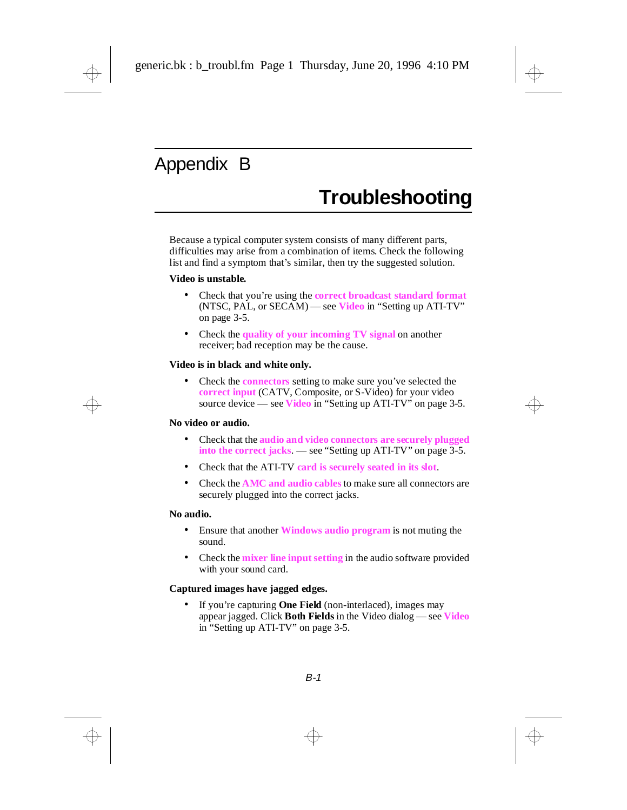## <span id="page-30-0"></span>Appendix B

## **Troubleshooting**

Because a typical computer system consists of many different parts, difficulties may arise from a combination of items. Check the following list and find a symptom that's similar, then try the suggested solution.

#### **Video is unstable.**

- Check that you're using the **correct broadcast standard format** (NTSC, PAL, or SECAM) — see **Video** in ["Setting up ATI-TV"](#page-15-0)  [on page 3-5.](#page-15-0)
- Check the **quality of your incoming TV signal** on another receiver; bad reception may be the cause.

#### **Video is in black and white only.**

• Check the **connectors** setting to make sure you've selected the **correct input** (CATV, Composite, or S-Video) for your video source device — see **Video** in ["Setting up ATI-TV" on page 3-5.](#page-15-0)

#### **No video or audio.**

- Check that the **audio and video connectors are securely plugged into the correct jacks**. — see ["Setting up ATI-TV" on page 3-5.](#page-15-0)
- Check that the ATI-TV **card is securely seated in its slot**.
- Check the **AMC and audio cables** to make sure all connectors are securely plugged into the correct jacks.

#### **No audio.**

- Ensure that another **Windows audio program** is not muting the sound.
- Check the **mixer line input setting** in the audio software provided with your sound card.

#### **Captured images have jagged edges.**

If you're capturing **One Field** (non-interlaced), images may appear jagged. Click **Both Fields** in the Video dialog — see **Video** in ["Setting up ATI-TV" on page 3-5.](#page-15-0)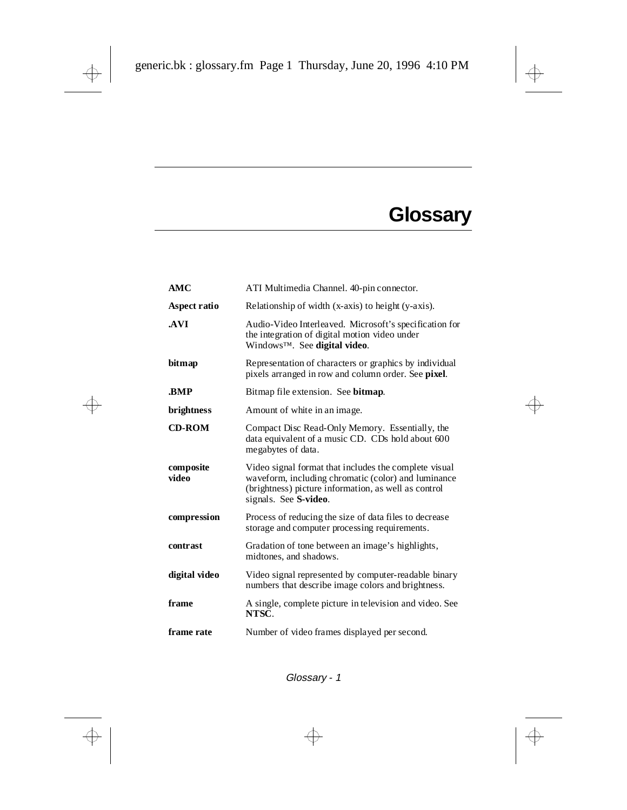# **Glossary**

<span id="page-31-0"></span>

| ATI Multimedia Channel. 40-pin connector.                                                                                                                                                     |
|-----------------------------------------------------------------------------------------------------------------------------------------------------------------------------------------------|
| Relationship of width (x-axis) to height (y-axis).                                                                                                                                            |
| Audio-Video Interleaved. Microsoft's specification for<br>the integration of digital motion video under<br>Windows™. See digital video.                                                       |
| Representation of characters or graphics by individual<br>pixels arranged in row and column order. See pixel.                                                                                 |
| Bitmap file extension. See bitmap.                                                                                                                                                            |
| Amount of white in an image.                                                                                                                                                                  |
| Compact Disc Read-Only Memory. Essentially, the<br>data equivalent of a music CD. CDs hold about 600<br>megabytes of data.                                                                    |
| Video signal format that includes the complete visual<br>waveform, including chromatic (color) and luminance<br>(brightness) picture information, as well as control<br>signals. See S-video. |
| Process of reducing the size of data files to decrease<br>storage and computer processing requirements.                                                                                       |
| Gradation of tone between an image's highlights,<br>midtones, and shadows.                                                                                                                    |
| Video signal represented by computer-readable binary<br>numbers that describe image colors and brightness.                                                                                    |
|                                                                                                                                                                                               |
| A single, complete picture in television and video. See<br>NTSC.                                                                                                                              |
|                                                                                                                                                                                               |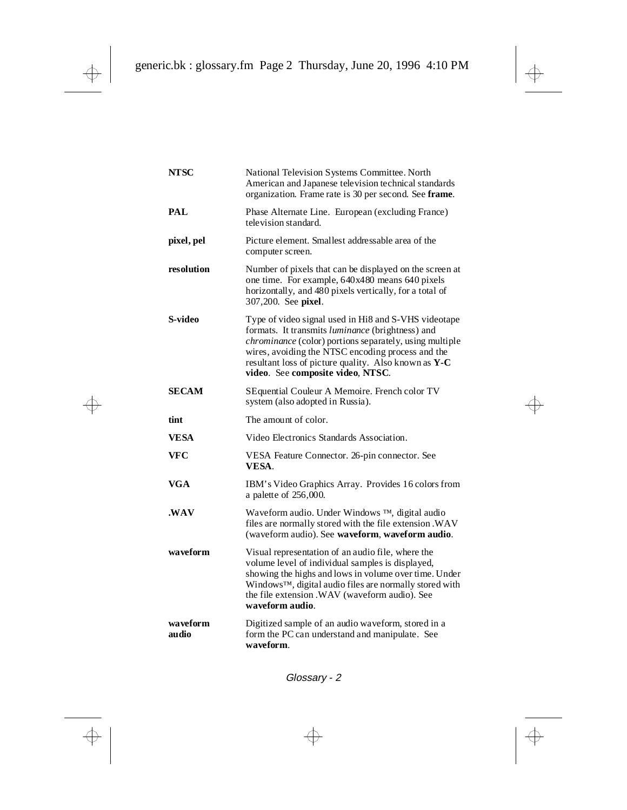| <b>NTSC</b>       | National Television Systems Committee. North<br>American and Japanese television technical standards<br>organization. Frame rate is 30 per second. See frame.                                                                                                                                                         |
|-------------------|-----------------------------------------------------------------------------------------------------------------------------------------------------------------------------------------------------------------------------------------------------------------------------------------------------------------------|
| <b>PAL</b>        | Phase Alternate Line. European (excluding France)<br>television standard.                                                                                                                                                                                                                                             |
| pixel, pel        | Picture element. Smallest addressable area of the<br>computer screen.                                                                                                                                                                                                                                                 |
| resolution        | Number of pixels that can be displayed on the screen at<br>one time. For example, 640x480 means 640 pixels<br>horizontally, and 480 pixels vertically, for a total of<br>307,200. See pixel.                                                                                                                          |
| S-video           | Type of video signal used in Hi8 and S-VHS videotape<br>formats. It transmits luminance (brightness) and<br>chrominance (color) portions separately, using multiple<br>wires, avoiding the NTSC encoding process and the<br>resultant loss of picture quality. Also known as Y-C<br>video. See composite video, NTSC. |
| <b>SECAM</b>      | SEquential Couleur A Memoire. French color TV<br>system (also adopted in Russia).                                                                                                                                                                                                                                     |
| tint              | The amount of color.                                                                                                                                                                                                                                                                                                  |
| VESA              | Video Electronics Standards Association.                                                                                                                                                                                                                                                                              |
| <b>VFC</b>        | VESA Feature Connector. 26-pin connector. See<br>VESA.                                                                                                                                                                                                                                                                |
| VGA               | IBM's Video Graphics Array. Provides 16 colors from<br>a palette of 256,000.                                                                                                                                                                                                                                          |
| .WAV              | Waveform audio. Under Windows TM, digital audio<br>files are normally stored with the file extension .WAV<br>(waveform audio). See waveform, waveform audio.                                                                                                                                                          |
| waveform          | Visual representation of an audio file, where the<br>volume level of individual samples is displayed,<br>showing the highs and lows in volume over time. Under<br>Windows™, digital audio files are normally stored with<br>the file extension .WAV (waveform audio). See<br>waveform audio.                          |
| waveform<br>audio | Digitized sample of an audio waveform, stored in a<br>form the PC can understand and manipulate. See<br>waveform.                                                                                                                                                                                                     |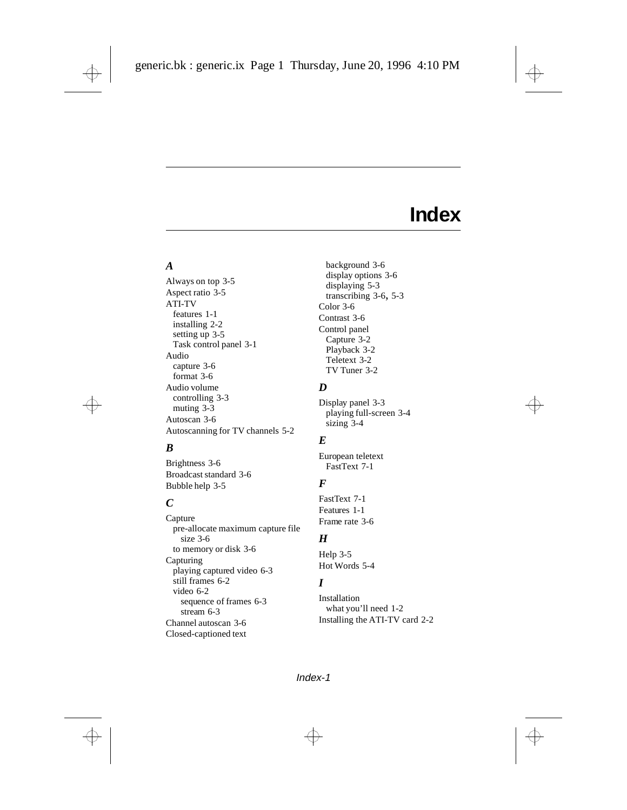## **Index**

#### *A*

Always on top [3-5](#page-15-0) Aspect ratio [3-5](#page-15-0) ATI-TV features [1-1](#page-4-0) installing [2-2](#page-7-0) setting up [3-5](#page-15-0) Task control panel [3-1](#page-11-0) Audio capture [3-6](#page-16-0) format [3-6](#page-16-0) Audio volume controlling [3-3](#page-13-0) muting [3-3](#page-13-0) Autoscan [3-6](#page-16-0) Autoscanning for TV channels [5-2](#page-20-0)

#### *B*

Brightness [3-6](#page-16-0) Broadcast standard [3-6](#page-16-0) Bubble help [3-5](#page-15-0)

#### *C*

Capture pre-all[ocate maximum capture file](#page-16-0)  size 3-6 to memory or disk [3-6](#page-16-0) Capturing playing captured video [6-3](#page-26-0) still frames [6-2](#page-25-0) video [6-2](#page-25-0) sequence of frames [6-3](#page-26-0) stream [6-3](#page-26-0) Channel autoscan [3-6](#page-16-0) Closed-captioned text

background [3-6](#page-16-0) display options [3-6](#page-16-0) displaying [5-3](#page-21-0) transcribing [3-6,](#page-16-0) [5-3](#page-21-0) Color [3-6](#page-16-0) Contrast [3-6](#page-16-0) Control panel Capture [3-2](#page-12-0) Playback [3-2](#page-12-0) Teletext [3-2](#page-12-0) TV Tuner [3-2](#page-12-0)

#### *D*

Display panel [3-3](#page-13-0) playing full-screen [3-4](#page-14-0) sizing [3-4](#page-14-0)

#### *E*

European teletext FastText [7-1](#page-27-0)

#### *F*

FastText [7-1](#page-27-0) Features [1-1](#page-4-0) Frame rate [3-6](#page-16-0)

#### *H*

Help [3-5](#page-15-0) Hot Words [5-4](#page-22-0)

#### *I*

Installation what you'll need [1-2](#page-5-0) Installing the ATI-TV card [2-2](#page-7-0)